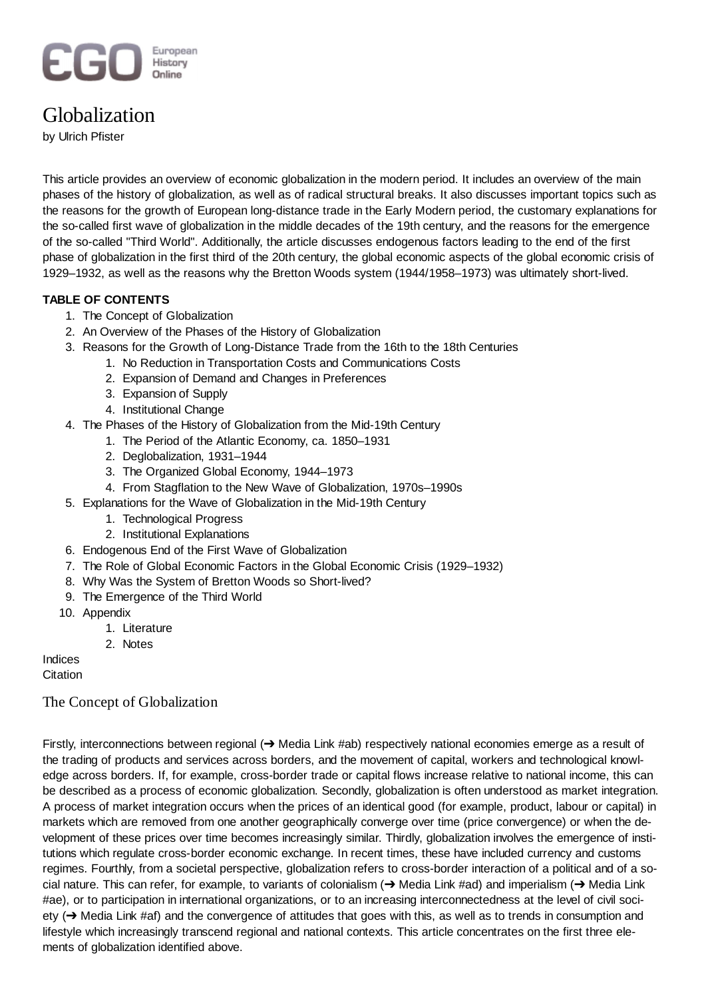# European **EGO History**

# Globalization

by Ulrich Pfister

This article provides an overview of economic globalization in the modern period. It includes an overview of the main phases of the history of globalization, as well as of radical structural breaks. It also discusses important topics such as the reasons for the growth of European long-distance trade in the Early Modern period, the customary explanations for the so-called first wave of globalization in the middle decades of the 19th century, and the reasons for the emergence of the so-called "Third World". Additionally, the article discusses endogenous factors leading to the end of the first phase of globalization in the first third of the 20th century, the global economic aspects of the global economic crisis of 1929–1932, as well as the reasons why the Bretton Woods system (1944/1958–1973) was ultimately short-lived.

# **TABLE OF CONTENTS**

- 1. The Concept of Globalization
- 2. An Overview of the Phases of the History of Globalization
- 3. Reasons for the Growth of Long-Distance Trade from the 16th to the 18th Centuries
	- 1. No Reduction in Transportation Costs and Communications Costs
		- 2. Expansion of Demand and Changes in Preferences
		- 3. Expansion of Supply
		- 4. Institutional Change
- The Phases of the History of Globalization from the Mid-19th Century 4.
	- 1. The Period of the Atlantic Economy, ca. 1850–1931
	- 2. Deglobalization, 1931–1944
	- 3. The Organized Global Economy, 1944–1973
	- 4. From Stagflation to the New Wave of Globalization, 1970s–1990s
- Explanations for the Wave of Globalization in the Mid-19th Century 5.
	- 1. Technological Progress
	- 2. Institutional Explanations
- 6. Endogenous End of the First Wave of Globalization
- 7. The Role of Global Economic Factors in the Global Economic Crisis (1929–1932)
- 8. Why Was the System of Bretton Woods so Short-lived?
- 9. The Emergence of the Third World
- 10. Appendix
	- 1. Literature
	- 2. Notes

Indices

**Citation** 

# The Concept of Globalization

Firstly, interconnections between regional  $\rightarrow$  Media Link #ab) respectively national economies emerge as a result of the trading of products and services across borders, and the movement of capital, workers and technological knowledge across borders. If, for example, cross-border trade or capital flows increase relative to national income, this can be described as a process of economic globalization. Secondly, globalization is often understood as market integration. A process of market integration occurs when the prices of an identical good (for example, product, labour or capital) in markets which are removed from one another geographically converge over time (price convergence) or when the development of these prices over time becomes increasingly similar. Thirdly, globalization involves the emergence of institutions which regulate cross-border economic exchange. In recent times, these have included currency and customs regimes. Fourthly, from a societal perspective, globalization refers to cross-border interaction of a political and of a social nature. This can refer, for example, to variants of colonialism ( $\rightarrow$  Media Link #ad) and imperialism ( $\rightarrow$  Media Link #ae), or to participation in international organizations, or to an increasing interconnectedness at the level of civil society  $\rightarrow$  Media Link #af) and the convergence of attitudes that goes with this, as well as to trends in consumption and lifestyle which increasingly transcend regional and national contexts. This article concentrates on the first three elements of globalization identified above.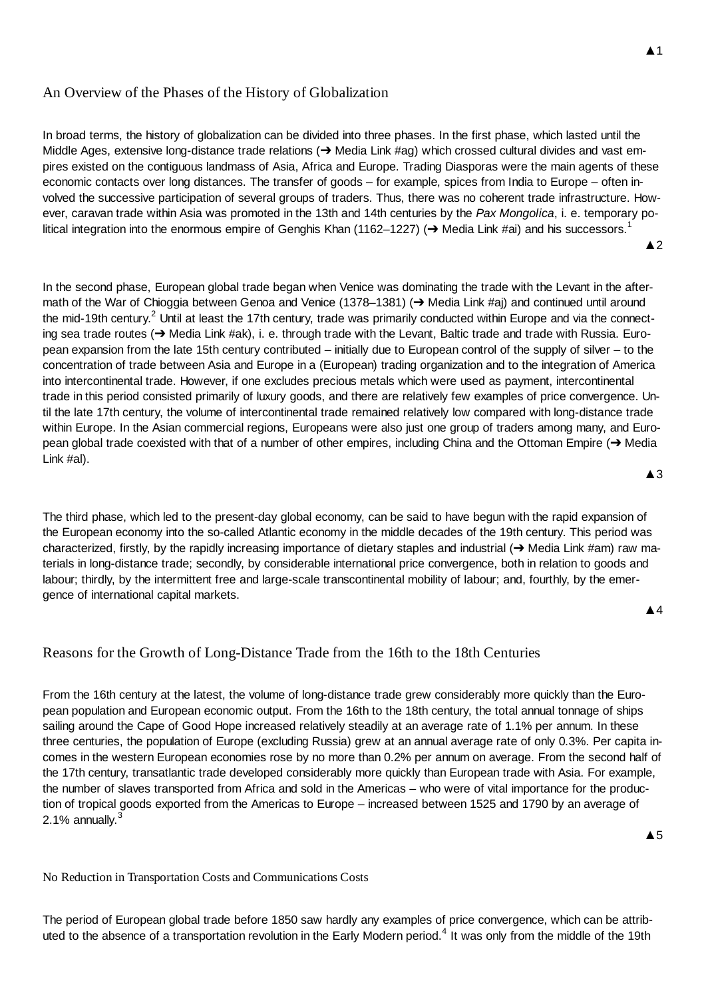# An Overview of the Phases of the History of Globalization

In broad terms, the history of globalization can be divided into three phases. In the first phase, which lasted until the Middle Ages, extensive long-distance trade relations  $(\rightarrow$  Media Link #ag) which crossed cultural divides and vast empires existed on the contiguous landmass of Asia, Africa and Europe. Trading Diasporas were the main agents of these economic contacts over long distances. The transfer of goods – for example, spices from India to Europe – often involved the successive participation of several groups of traders. Thus, there was no coherent trade infrastructure. However, caravan trade within Asia was promoted in the 13th and 14th centuries by the *Pax Mongolica*, i. e. temporary political integration into the enormous empire of Genghis Khan (1162–1227) ( $\rightarrow$  Media Link #ai) and his successors.<sup>1</sup>

 $\triangle$  2

In the second phase, European global trade began when Venice was dominating the trade with the Levant in the aftermath of the War of Chioggia between Genoa and Venice (1378–1381) ( $\rightarrow$  Media Link #aj) and continued until around the mid-19th century.<sup>2</sup> Until at least the 17th century, trade was primarily conducted within Europe and via the connecting sea trade routes  $\rightarrow$  Media Link #ak), i. e. through trade with the Levant, Baltic trade and trade with Russia. European expansion from the late 15th century contributed – initially due to European control of the supply of silver – to the concentration of trade between Asia and Europe in a (European) trading organization and to the integration of America into intercontinental trade. However, if one excludes precious metals which were used as payment, intercontinental trade in this period consisted primarily of luxury goods, and there are relatively few examples of price convergence. Until the late 17th century, the volume of intercontinental trade remained relatively low compared with long-distance trade within Europe. In the Asian commercial regions, Europeans were also just one group of traders among many, and European global trade coexisted with that of a number of other empires, including China and the Ottoman Empire  $\rightarrow$  Media Link #al).

The third phase, which led to the present-day global economy, can be said to have begun with the rapid expansion of the European economy into the so-called Atlantic economy in the middle decades of the 19th century. This period was characterized, firstly, by the rapidly increasing importance of dietary staples and industrial  $\rightarrow$  Media Link #am) raw materials in long-distance trade; secondly, by considerable international price convergence, both in relation to goods and labour; thirdly, by the intermittent free and large-scale transcontinental mobility of labour; and, fourthly, by the emergence of international capital markets.

Ÿ4

 $\triangle$ 3

# Reasons for the Growth of Long-Distance Trade from the 16th to the 18th Centuries

From the 16th century at the latest, the volume of long-distance trade grew considerably more quickly than the European population and European economic output. From the 16th to the 18th century, the total annual tonnage of ships sailing around the Cape of Good Hope increased relatively steadily at an average rate of 1.1% per annum. In these three centuries, the population of Europe (excluding Russia) grew at an annual average rate of only 0.3%. Per capita incomes in the western European economies rose by no more than 0.2% per annum on average. From the second half of the 17th century, transatlantic trade developed considerably more quickly than European trade with Asia. For example, the number of slaves transported from Africa and sold in the Americas – who were of vital importance for the production of tropical goods exported from the Americas to Europe – increased between 1525 and 1790 by an average of 2.1% annually. $3$ 

 $\triangle$ 5

No Reduction in Transportation Costs and Communications Costs

The period of European global trade before 1850 saw hardly any examples of price convergence, which can be attributed to the absence of a transportation revolution in the Early Modern period.<sup>4</sup> It was only from the middle of the 19th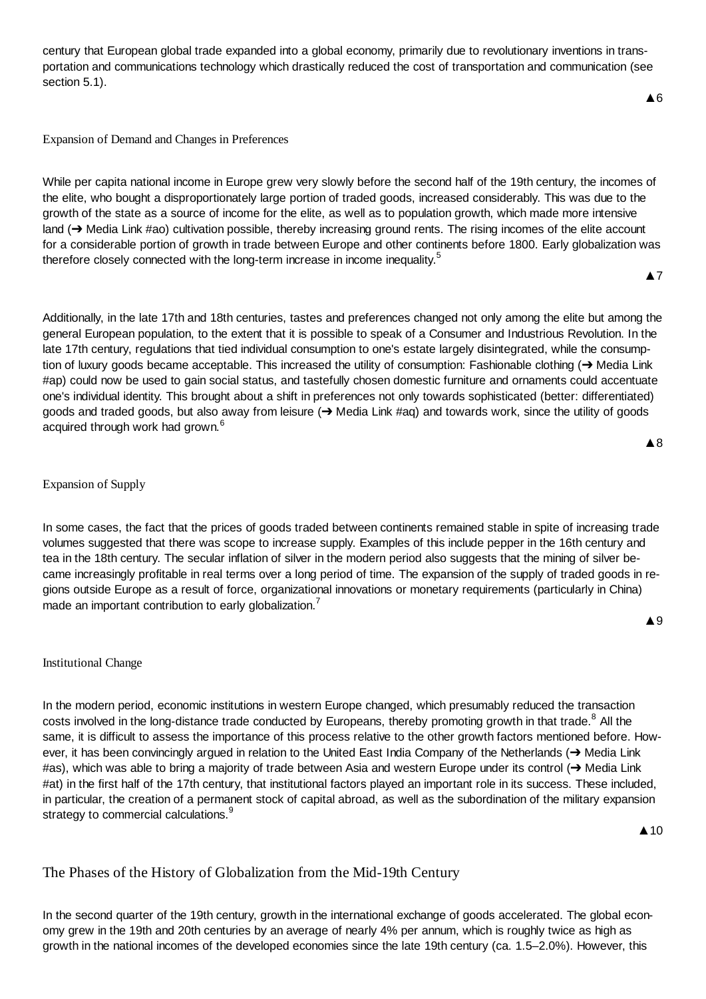century that European global trade expanded into a global economy, primarily due to revolutionary inventions in transportation and communications technology which drastically reduced the cost of transportation and communication (see section 5.1).

Expansion of Demand and Changes in Preferences

While per capita national income in Europe grew very slowly before the second half of the 19th century, the incomes of the elite, who bought a disproportionately large portion of traded goods, increased considerably. This was due to the growth of the state as a source of income for the elite, as well as to population growth, which made more intensive land  $(\rightarrow$  Media Link #ao) cultivation possible, thereby increasing ground rents. The rising incomes of the elite account for a considerable portion of growth in trade between Europe and other continents before 1800. Early globalization was therefore closely connected with the long-term increase in income inequality.<sup>5</sup>

**A7** 

**A8** 

**A** 9

Additionally, in the late 17th and 18th centuries, tastes and preferences changed not only among the elite but among the general European population, to the extent that it is possible to speak of a Consumer and Industrious Revolution. In the late 17th century, regulations that tied individual consumption to one's estate largely disintegrated, while the consumption of luxury goods became acceptable. This increased the utility of consumption: Fashionable clothing  $\rightarrow$  Media Link #ap) could now be used to gain social status, and tastefully chosen domestic furniture and ornaments could accentuate one's individual identity. This brought about a shift in preferences not only towards sophisticated (better: differentiated) goods and traded goods, but also away from leisure (+> Media Link #aq) and towards work, since the utility of goods acquired through work had grown.<sup>6</sup>

## Expansion of Supply

In some cases, the fact that the prices of goods traded between continents remained stable in spite of increasing trade volumes suggested that there was scope to increase supply. Examples of this include pepper in the 16th century and tea in the 18th century. The secular inflation of silver in the modern period also suggests that the mining of silver became increasingly profitable in real terms over a long period of time. The expansion of the supply of traded goods in regions outside Europe as a result of force, organizational innovations or monetary requirements (particularly in China) made an important contribution to early globalization.<sup>7</sup>

#### Institutional Change

In the modern period, economic institutions in western Europe changed, which presumably reduced the transaction costs involved in the long-distance trade conducted by Europeans, thereby promoting growth in that trade.<sup>8</sup> All the same, it is difficult to assess the importance of this process relative to the other growth factors mentioned before. However, it has been convincingly argued in relation to the United East India Company of the Netherlands ( $\rightarrow$  Media Link #as), which was able to bring a majority of trade between Asia and western Europe under its control  $\rightarrow$  Media Link #at) in the first half of the 17th century, that institutional factors played an important role in its success. These included, in particular, the creation of a permanent stock of capital abroad, as well as the subordination of the military expansion strategy to commercial calculations.<sup>9</sup>

 $\triangle$  10

# The Phases of the History of Globalization from the Mid-19th Century

In the second quarter of the 19th century, growth in the international exchange of goods accelerated. The global economy grew in the 19th and 20th centuries by an average of nearly 4% per annum, which is roughly twice as high as growth in the national incomes of the developed economies since the late 19th century (ca. 1.5–2.0%). However, this

**▲6**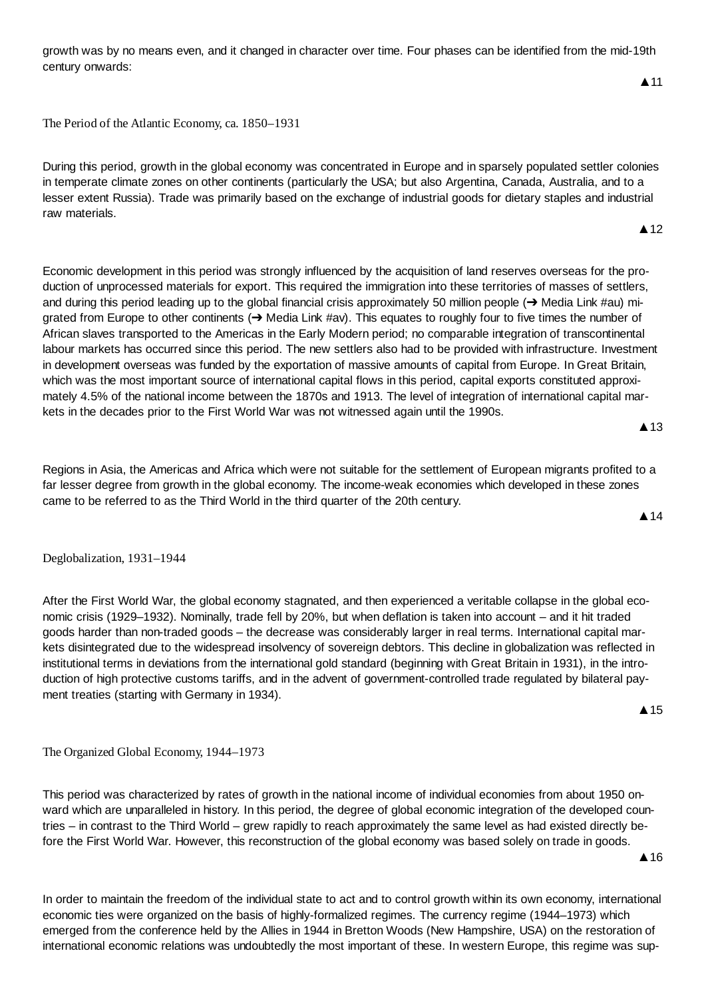growth was by no means even, and it changed in character over time. Four phases can be identified from the mid-19th century onwards:

The Period of the Atlantic Economy, ca. 1850–1931

During this period, growth in the global economy was concentrated in Europe and in sparsely populated settler colonies in temperate climate zones on other continents (particularly the USA; but also Argentina, Canada, Australia, and to a lesser extent Russia). Trade was primarily based on the exchange of industrial goods for dietary staples and industrial raw materials.

Economic development in this period was strongly influenced by the acquisition of land reserves overseas for the production of unprocessed materials for export. This required the immigration into these territories of masses of settlers, and during this period leading up to the global financial crisis approximately 50 million people  $\rightarrow$  Media Link #au) migrated from Europe to other continents  $(\rightarrow$  Media Link #av). This equates to roughly four to five times the number of African slaves transported to the Americas in the Early Modern period; no comparable integration of transcontinental labour markets has occurred since this period. The new settlers also had to be provided with infrastructure. Investment in development overseas was funded by the exportation of massive amounts of capital from Europe. In Great Britain, which was the most important source of international capital flows in this period, capital exports constituted approximately 4.5% of the national income between the 1870s and 1913. The level of integration of international capital markets in the decades prior to the First World War was not witnessed again until the 1990s.

Regions in Asia, the Americas and Africa which were not suitable for the settlement of European migrants profited to a far lesser degree from growth in the global economy. The income-weak economies which developed in these zones came to be referred to as the Third World in the third quarter of the 20th century.

Deglobalization, 1931–1944

After the First World War, the global economy stagnated, and then experienced a veritable collapse in the global economic crisis (1929–1932). Nominally, trade fell by 20%, but when deflation is taken into account – and it hit traded goods harder than non-traded goods – the decrease was considerably larger in real terms. International capital markets disintegrated due to the widespread insolvency of sovereign debtors. This decline in globalization was reflected in institutional terms in deviations from the international gold standard (beginning with Great Britain in 1931), in the introduction of high protective customs tariffs, and in the advent of government-controlled trade regulated by bilateral payment treaties (starting with Germany in 1934).

The Organized Global Economy, 1944–1973

This period was characterized by rates of growth in the national income of individual economies from about 1950 onward which are unparalleled in history. In this period, the degree of global economic integration of the developed countries – in contrast to the Third World – grew rapidly to reach approximately the same level as had existed directly before the First World War. However, this reconstruction of the global economy was based solely on trade in goods.

In order to maintain the freedom of the individual state to act and to control growth within its own economy, international economic ties were organized on the basis of highly-formalized regimes. The currency regime (1944–1973) which emerged from the conference held by the Allies in 1944 in Bretton Woods (New Hampshire, USA) on the restoration of international economic relations was undoubtedly the most important of these. In western Europe, this regime was sup-

 $\triangle$  16

A 15



 $\triangle$  13

# $\blacktriangle$  11

 $\triangle$  12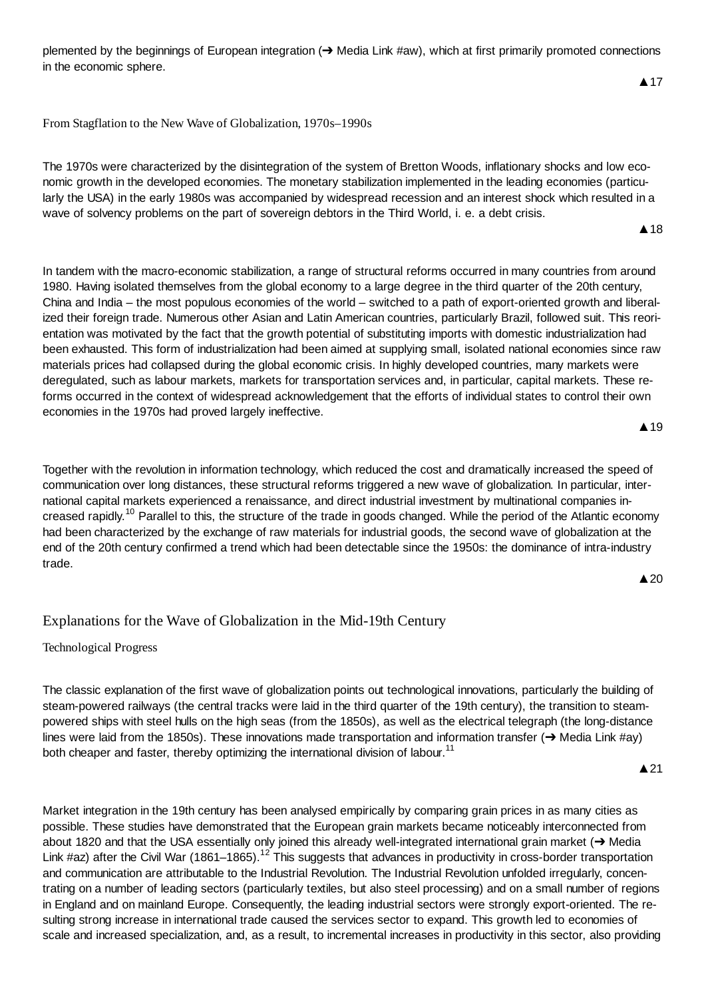plemented by the beginnings of European integration  $(\rightarrow$  Media Link #aw), which at first primarily promoted connections in the economic sphere.

From Stagflation to the New Wave of Globalization, 1970s–1990s

The 1970s were characterized by the disintegration of the system of Bretton Woods, inflationary shocks and low economic growth in the developed economies. The monetary stabilization implemented in the leading economies (particularly the USA) in the early 1980s was accompanied by widespread recession and an interest shock which resulted in a wave of solvency problems on the part of sovereign debtors in the Third World, i. e. a debt crisis.

In tandem with the macro-economic stabilization, a range of structural reforms occurred in many countries from around 1980. Having isolated themselves from the global economy to a large degree in the third quarter of the 20th century, China and India – the most populous economies of the world – switched to a path of export-oriented growth and liberalized their foreign trade. Numerous other Asian and Latin American countries, particularly Brazil, followed suit. This reorientation was motivated by the fact that the growth potential of substituting imports with domestic industrialization had been exhausted. This form of industrialization had been aimed at supplying small, isolated national economies since raw materials prices had collapsed during the global economic crisis. In highly developed countries, many markets were deregulated, such as labour markets, markets for transportation services and, in particular, capital markets. These reforms occurred in the context of widespread acknowledgement that the efforts of individual states to control their own economies in the 1970s had proved largely ineffective.

▲ 19

**▲**17

**A** 18

Together with the revolution in information technology, which reduced the cost and dramatically increased the speed of communication over long distances, these structural reforms triggered a new wave of globalization. In particular, international capital markets experienced a renaissance, and direct industrial investment by multinational companies increased rapidly.<sup>10</sup> Parallel to this, the structure of the trade in goods changed. While the period of the Atlantic economy had been characterized by the exchange of raw materials for industrial goods, the second wave of globalization at the end of the 20th century confirmed a trend which had been detectable since the 1950s: the dominance of intra-industry trade.

 $\triangle 20$ 

# Explanations for the Wave of Globalization in the Mid-19th Century

Technological Progress

The classic explanation of the first wave of globalization points out technological innovations, particularly the building of steam-powered railways (the central tracks were laid in the third quarter of the 19th century), the transition to steampowered ships with steel hulls on the high seas (from the 1850s), as well as the electrical telegraph (the long-distance lines were laid from the 1850s). These innovations made transportation and information transfer ( $\rightarrow$  Media Link #ay) both cheaper and faster, thereby optimizing the international division of labour.<sup>11</sup>

▲21

Market integration in the 19th century has been analysed empirically by comparing grain prices in as many cities as possible. These studies have demonstrated that the European grain markets became noticeably interconnected from about 1820 and that the USA essentially only joined this already well-integrated international grain market  $\rightarrow$  Media Link #az) after the Civil War (1861–1865).<sup>12</sup> This suggests that advances in productivity in cross-border transportation and communication are attributable to the Industrial Revolution. The Industrial Revolution unfolded irregularly, concentrating on a number of leading sectors (particularly textiles, but also steel processing) and on a small number of regions in England and on mainland Europe. Consequently, the leading industrial sectors were strongly export-oriented. The resulting strong increase in international trade caused the services sector to expand. This growth led to economies of scale and increased specialization, and, as a result, to incremental increases in productivity in this sector, also providing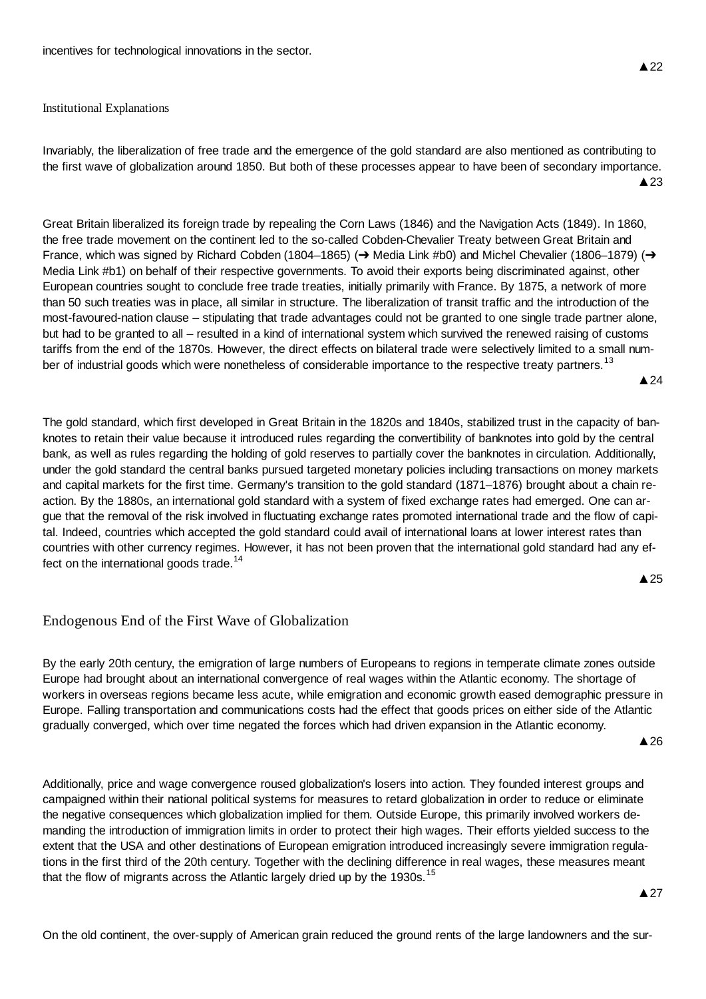#### Institutional Explanations

Invariably, the liberalization of free trade and the emergence of the gold standard are also mentioned as contributing to the first wave of globalization around 1850. But both of these processes appear to have been of secondary importance.  $\triangle$  23

Great Britain liberalized its foreign trade by repealing the Corn Laws (1846) and the Navigation Acts (1849). In 1860, the free trade movement on the continent led to the so-called Cobden-Chevalier Treaty between Great Britain and France, which was signed by Richard Cobden (1804–1865) ( $\rightarrow$  Media Link #b0) and Michel Chevalier (1806–1879) ( $\rightarrow$ Media Link #b1) on behalf of their respective governments. To avoid their exports being discriminated against, other European countries sought to conclude free trade treaties, initially primarily with France. By 1875, a network of more than 50 such treaties was in place, all similar in structure. The liberalization of transit traffic and the introduction of the most-favoured-nation clause – stipulating that trade advantages could not be granted to one single trade partner alone, but had to be granted to all – resulted in a kind of international system which survived the renewed raising of customs tariffs from the end of the 1870s. However, the direct effects on bilateral trade were selectively limited to a small number of industrial goods which were nonetheless of considerable importance to the respective treaty partners.<sup>13</sup>

 $\triangle$  24

The gold standard, which first developed in Great Britain in the 1820s and 1840s, stabilized trust in the capacity of banknotes to retain their value because it introduced rules regarding the convertibility of banknotes into gold by the central bank, as well as rules regarding the holding of gold reserves to partially cover the banknotes in circulation. Additionally, under the gold standard the central banks pursued targeted monetary policies including transactions on money markets and capital markets for the first time. Germany's transition to the gold standard (1871–1876) brought about a chain reaction. By the 1880s, an international gold standard with a system of fixed exchange rates had emerged. One can argue that the removal of the risk involved in fluctuating exchange rates promoted international trade and the flow of capital. Indeed, countries which accepted the gold standard could avail of international loans at lower interest rates than countries with other currency regimes. However, it has not been proven that the international gold standard had any effect on the international goods trade.<sup>14</sup>

 $\triangle$  25

# Endogenous End of the First Wave of Globalization

By the early 20th century, the emigration of large numbers of Europeans to regions in temperate climate zones outside Europe had brought about an international convergence of real wages within the Atlantic economy. The shortage of workers in overseas regions became less acute, while emigration and economic growth eased demographic pressure in Europe. Falling transportation and communications costs had the effect that goods prices on either side of the Atlantic gradually converged, which over time negated the forces which had driven expansion in the Atlantic economy.

 $\triangle$  26

Additionally, price and wage convergence roused globalization's losers into action. They founded interest groups and campaigned within their national political systems for measures to retard globalization in order to reduce or eliminate the negative consequences which globalization implied for them. Outside Europe, this primarily involved workers demanding the introduction of immigration limits in order to protect their high wages. Their efforts yielded success to the extent that the USA and other destinations of European emigration introduced increasingly severe immigration regulations in the first third of the 20th century. Together with the declining difference in real wages, these measures meant that the flow of migrants across the Atlantic largely dried up by the 1930s.<sup>15</sup>

**A27** 

On the old continent, the over-supply of American grain reduced the ground rents of the large landowners and the sur-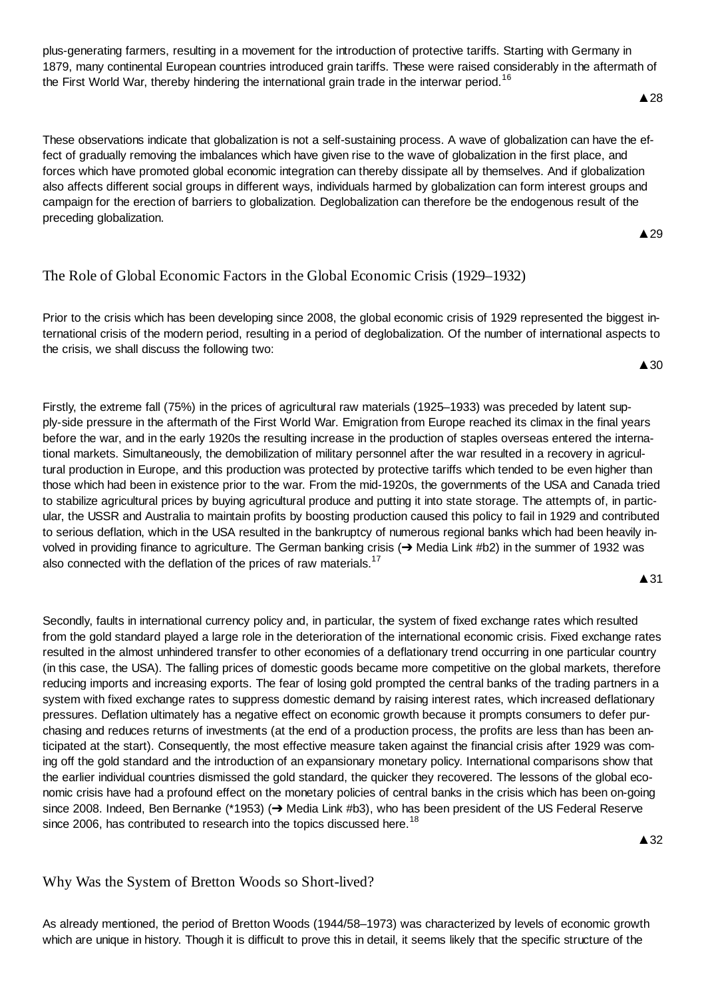plus-generating farmers, resulting in a movement for the introduction of protective tariffs. Starting with Germany in 1879, many continental European countries introduced grain tariffs. These were raised considerably in the aftermath of the First World War, thereby hindering the international grain trade in the interwar period.<sup>16</sup>

These observations indicate that globalization is not a self-sustaining process. A wave of globalization can have the effect of gradually removing the imbalances which have given rise to the wave of globalization in the first place, and forces which have promoted global economic integration can thereby dissipate all by themselves. And if globalization also affects different social groups in different ways, individuals harmed by globalization can form interest groups and campaign for the erection of barriers to globalization. Deglobalization can therefore be the endogenous result of the preceding globalization.

# The Role of Global Economic Factors in the Global Economic Crisis (1929–1932)

Prior to the crisis which has been developing since 2008, the global economic crisis of 1929 represented the biggest international crisis of the modern period, resulting in a period of deglobalization. Of the number of international aspects to the crisis, we shall discuss the following two:

Firstly, the extreme fall (75%) in the prices of agricultural raw materials (1925–1933) was preceded by latent supply-side pressure in the aftermath of the First World War. Emigration from Europe reached its climax in the final years before the war, and in the early 1920s the resulting increase in the production of staples overseas entered the international markets. Simultaneously, the demobilization of military personnel after the war resulted in a recovery in agricultural production in Europe, and this production was protected by protective tariffs which tended to be even higher than those which had been in existence prior to the war. From the mid-1920s, the governments of the USA and Canada tried to stabilize agricultural prices by buying agricultural produce and putting it into state storage. The attempts of, in particular, the USSR and Australia to maintain profits by boosting production caused this policy to fail in 1929 and contributed to serious deflation, which in the USA resulted in the bankruptcy of numerous regional banks which had been heavily involved in providing finance to agriculture. The German banking crisis (→ Media Link #b2) in the summer of 1932 was also connected with the deflation of the prices of raw materials.<sup>17</sup>

**A**31

Secondly, faults in international currency policy and, in particular, the system of fixed exchange rates which resulted from the gold standard played a large role in the deterioration of the international economic crisis. Fixed exchange rates resulted in the almost unhindered transfer to other economies of a deflationary trend occurring in one particular country (in this case, the USA). The falling prices of domestic goods became more competitive on the global markets, therefore reducing imports and increasing exports. The fear of losing gold prompted the central banks of the trading partners in a system with fixed exchange rates to suppress domestic demand by raising interest rates, which increased deflationary pressures. Deflation ultimately has a negative effect on economic growth because it prompts consumers to defer purchasing and reduces returns of investments (at the end of a production process, the profits are less than has been anticipated at the start). Consequently, the most effective measure taken against the financial crisis after 1929 was coming off the gold standard and the introduction of an expansionary monetary policy. International comparisons show that the earlier individual countries dismissed the gold standard, the quicker they recovered. The lessons of the global economic crisis have had a profound effect on the monetary policies of central banks in the crisis which has been on-going since 2008. Indeed, Ben Bernanke (\*1953) ( $\rightarrow$  Media Link #b3), who has been president of the US Federal Reserve since 2006, has contributed to research into the topics discussed here.<sup>18</sup>

 $\triangle$  32

Why Was the System of Bretton Woods so Short-lived?

As already mentioned, the period of Bretton Woods (1944/58–1973) was characterized by levels of economic growth which are unique in history. Though it is difficult to prove this in detail, it seems likely that the specific structure of the

#### $\triangle$  28

▲ 29

 $\triangle$  30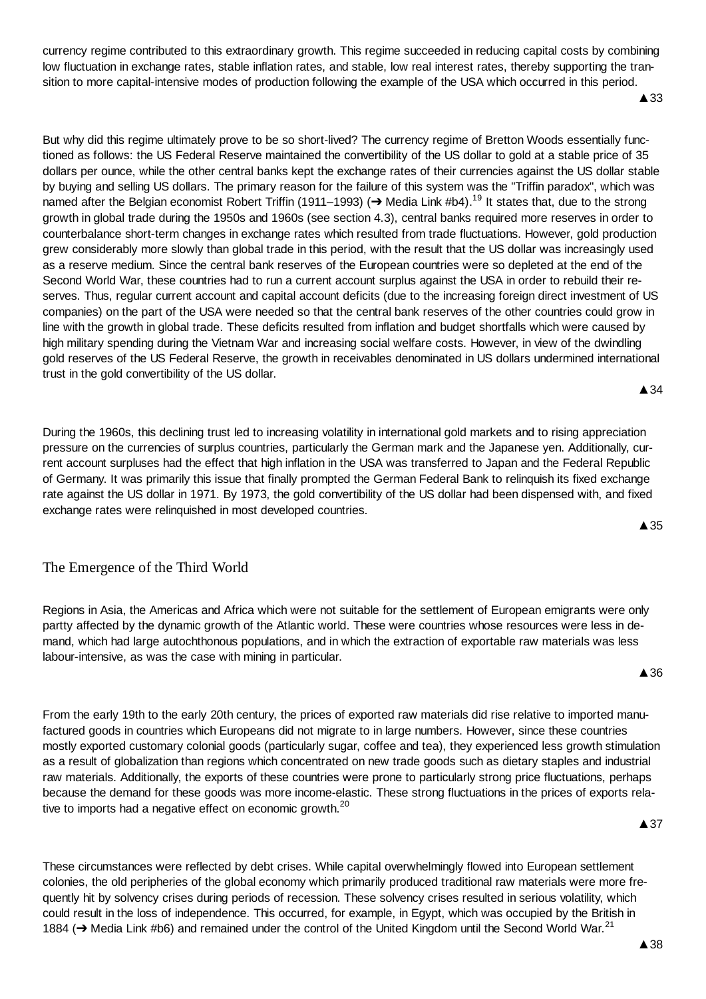currency regime contributed to this extraordinary growth. This regime succeeded in reducing capital costs by combining low fluctuation in exchange rates, stable inflation rates, and stable, low real interest rates, thereby supporting the transition to more capital-intensive modes of production following the example of the USA which occurred in this period.

**▲33** 

But why did this regime ultimately prove to be so short-lived? The currency regime of Bretton Woods essentially functioned as follows: the US Federal Reserve maintained the convertibility of the US dollar to gold at a stable price of 35 dollars per ounce, while the other central banks kept the exchange rates of their currencies against the US dollar stable by buying and selling US dollars. The primary reason for the failure of this system was the "Triffin paradox", which was named after the Belgian economist Robert Triffin (1911–1993) ( $\rightarrow$  Media Link #b4).<sup>19</sup> It states that, due to the strong growth in global trade during the 1950s and 1960s (see section 4.3), central banks required more reserves in order to counterbalance short-term changes in exchange rates which resulted from trade fluctuations. However, gold production grew considerably more slowly than global trade in this period, with the result that the US dollar was increasingly used as a reserve medium. Since the central bank reserves of the European countries were so depleted at the end of the Second World War, these countries had to run a current account surplus against the USA in order to rebuild their reserves. Thus, regular current account and capital account deficits (due to the increasing foreign direct investment of US companies) on the part of the USA were needed so that the central bank reserves of the other countries could grow in line with the growth in global trade. These deficits resulted from inflation and budget shortfalls which were caused by high military spending during the Vietnam War and increasing social welfare costs. However, in view of the dwindling gold reserves of the US Federal Reserve, the growth in receivables denominated in US dollars undermined international trust in the gold convertibility of the US dollar.

During the 1960s, this declining trust led to increasing volatility in international gold markets and to rising appreciation pressure on the currencies of surplus countries, particularly the German mark and the Japanese yen. Additionally, current account surpluses had the effect that high inflation in the USA was transferred to Japan and the Federal Republic of Germany. It was primarily this issue that finally prompted the German Federal Bank to relinquish its fixed exchange rate against the US dollar in 1971. By 1973, the gold convertibility of the US dollar had been dispensed with, and fixed exchange rates were relinquished in most developed countries.

# The Emergence of the Third World

Regions in Asia, the Americas and Africa which were not suitable for the settlement of European emigrants were only partty affected by the dynamic growth of the Atlantic world. These were countries whose resources were less in demand, which had large autochthonous populations, and in which the extraction of exportable raw materials was less labour-intensive, as was the case with mining in particular.

From the early 19th to the early 20th century, the prices of exported raw materials did rise relative to imported manufactured goods in countries which Europeans did not migrate to in large numbers. However, since these countries mostly exported customary colonial goods (particularly sugar, coffee and tea), they experienced less growth stimulation as a result of globalization than regions which concentrated on new trade goods such as dietary staples and industrial raw materials. Additionally, the exports of these countries were prone to particularly strong price fluctuations, perhaps because the demand for these goods was more income-elastic. These strong fluctuations in the prices of exports relative to imports had a negative effect on economic growth. $20$ 

**▲37** 

These circumstances were reflected by debt crises. While capital overwhelmingly flowed into European settlement colonies, the old peripheries of the global economy which primarily produced traditional raw materials were more frequently hit by solvency crises during periods of recession. These solvency crises resulted in serious volatility, which could result in the loss of independence. This occurred, for example, in Egypt, which was occupied by the British in 1884 ( $\rightarrow$  Media Link #b6) and remained under the control of the United Kingdom until the Second World War.<sup>21</sup>

**▲38** 

 $\triangle$  35

**▲36** 

**A** 34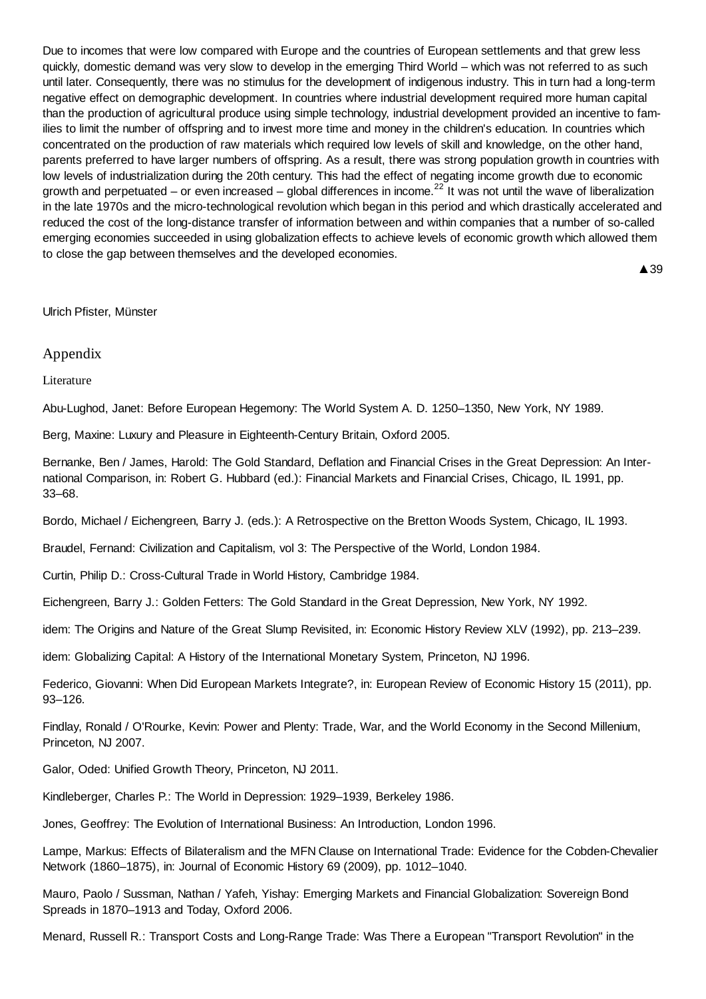Due to incomes that were low compared with Europe and the countries of European settlements and that grew less quickly, domestic demand was very slow to develop in the emerging Third World – which was not referred to as such until later. Consequently, there was no stimulus for the development of indigenous industry. This in turn had a long-term negative effect on demographic development. In countries where industrial development required more human capital than the production of agricultural produce using simple technology, industrial development provided an incentive to families to limit the number of offspring and to invest more time and money in the children's education. In countries which concentrated on the production of raw materials which required low levels of skill and knowledge, on the other hand, parents preferred to have larger numbers of offspring. As a result, there was strong population growth in countries with low levels of industrialization during the 20th century. This had the effect of negating income growth due to economic growth and perpetuated – or even increased – global differences in income.<sup>22</sup> It was not until the wave of liberalization in the late 1970s and the micro-technological revolution which began in this period and which drastically accelerated and reduced the cost of the long-distance transfer of information between and within companies that a number of so-called emerging economies succeeded in using globalization effects to achieve levels of economic growth which allowed them to close the gap between themselves and the developed economies.

▲ 39

#### Ulrich Pfister, Münster

Appendix

Literature

Abu-Lughod, Janet: Before European Hegemony: The World System A. D. 1250–1350, New York, NY 1989.

Berg, Maxine: Luxury and Pleasure in Eighteenth-Century Britain, Oxford 2005.

Bernanke, Ben / James, Harold: The Gold Standard, Deflation and Financial Crises in the Great Depression: An International Comparison, in: Robert G. Hubbard (ed.): Financial Markets and Financial Crises, Chicago, IL 1991, pp. 33–68.

Bordo, Michael / Eichengreen, Barry J. (eds.): A Retrospective on the Bretton Woods System, Chicago, IL 1993.

Braudel, Fernand: Civilization and Capitalism, vol 3: The Perspective of the World, London 1984.

Curtin, Philip D.: Cross-Cultural Trade in World History, Cambridge 1984.

Eichengreen, Barry J.: Golden Fetters: The Gold Standard in the Great Depression, New York, NY 1992.

idem: The Origins and Nature of the Great Slump Revisited, in: Economic History Review XLV (1992), pp. 213–239.

idem: Globalizing Capital: A History of the International Monetary System, Princeton, NJ 1996.

Federico, Giovanni: When Did European Markets Integrate?, in: European Review of Economic History 15 (2011), pp. 93–126.

Findlay, Ronald / O'Rourke, Kevin: Power and Plenty: Trade, War, and the World Economy in the Second Millenium, Princeton, NJ 2007.

Galor, Oded: Unified Growth Theory, Princeton, NJ 2011.

Kindleberger, Charles P.: The World in Depression: 1929–1939, Berkeley 1986.

Jones, Geoffrey: The Evolution of International Business: An Introduction, London 1996.

Lampe, Markus: Effects of Bilateralism and the MFN Clause on International Trade: Evidence for the Cobden-Chevalier Network (1860–1875), in: Journal of Economic History 69 (2009), pp. 1012–1040.

Mauro, Paolo / Sussman, Nathan / Yafeh, Yishay: Emerging Markets and Financial Globalization: Sovereign Bond Spreads in 1870–1913 and Today, Oxford 2006.

Menard, Russell R.: Transport Costs and Long-Range Trade: Was There a European "Transport Revolution" in the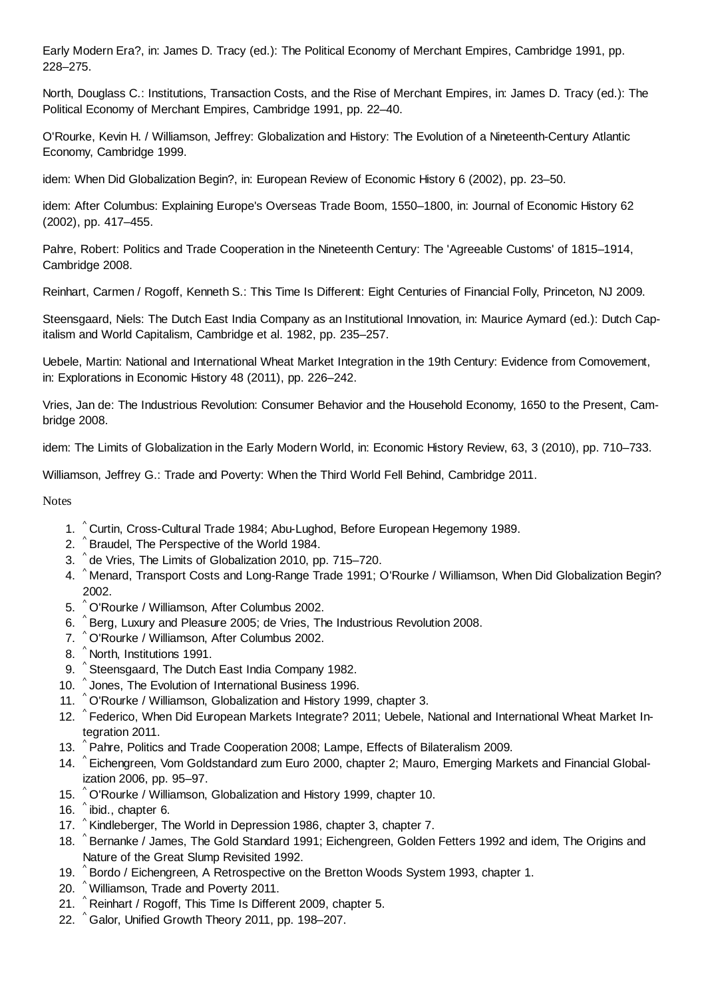Early Modern Era?, in: James D. Tracy (ed.): The Political Economy of Merchant Empires, Cambridge 1991, pp. 228–275.

North, Douglass C.: Institutions, Transaction Costs, and the Rise of Merchant Empires, in: James D. Tracy (ed.): The Political Economy of Merchant Empires, Cambridge 1991, pp. 22–40.

O'Rourke, Kevin H. / Williamson, Jeffrey: Globalization and History: The Evolution of a Nineteenth-Century Atlantic Economy, Cambridge 1999.

idem: When Did Globalization Begin?, in: European Review of Economic History 6 (2002), pp. 23–50.

idem: After Columbus: Explaining Europe's Overseas Trade Boom, 1550–1800, in: Journal of Economic History 62 (2002), pp. 417–455.

Pahre, Robert: Politics and Trade Cooperation in the Nineteenth Century: The 'Agreeable Customs' of 1815–1914, Cambridge 2008.

Reinhart, Carmen / Rogoff, Kenneth S.: This Time Is Different: Eight Centuries of Financial Folly, Princeton, NJ 2009.

Steensgaard, Niels: The Dutch East India Company as an Institutional Innovation, in: Maurice Aymard (ed.): Dutch Capitalism and World Capitalism, Cambridge et al. 1982, pp. 235–257.

Uebele, Martin: National and International Wheat Market Integration in the 19th Century: Evidence from Comovement, in: Explorations in Economic History 48 (2011), pp. 226–242.

Vries, Jan de: The Industrious Revolution: Consumer Behavior and the Household Economy, 1650 to the Present, Cambridge 2008.

idem: The Limits of Globalization in the Early Modern World, in: Economic History Review, 63, 3 (2010), pp. 710–733.

Williamson, Jeffrey G.: Trade and Poverty: When the Third World Fell Behind, Cambridge 2011.

Notes

- 1. <sup>^</sup> Curtin, Cross-Cultural Trade 1984; Abu-Lughod, Before European Hegemony 1989.
- 2. ^ Braudel, The Perspective of the World 1984.
- 3. ^de Vries, The Limits of Globalization 2010, pp. 715–720.
- 4. ^ Menard, Transport Costs and Long-Range Trade 1991; O'Rourke / Williamson, When Did Globalization Begin? 2002.
- 5. ^O'Rourke / Williamson, After Columbus 2002.
- 6. ^Berg, Luxury and Pleasure 2005; de Vries, The Industrious Revolution 2008.
- 7. ^ O'Rourke / Williamson, After Columbus 2002.
- 8. ^ North, Institutions 1991.
- 9. ^Steensgaard, The Dutch East India Company 1982.
- 10. ^ Jones, The Evolution of International Business 1996.
- 11. ^ O'Rourke / Williamson, Globalization and History 1999, chapter 3.
- 12. ^ Federico, When Did European Markets Integrate? 2011; Uebele, National and International Wheat Market Integration 2011.
- 13. ^ Pahre, Politics and Trade Cooperation 2008; Lampe, Effects of Bilateralism 2009.
- 14. ^ Eichengreen, Vom Goldstandard zum Euro 2000, chapter 2; Mauro, Emerging Markets and Financial Globalization 2006, pp. 95–97.
- 15. <sup>^</sup> O'Rourke / Williamson, Globalization and History 1999, chapter 10.
- 16.  $\degree$  ibid., chapter 6.
- 17. <sup>^</sup> Kindleberger, The World in Depression 1986, chapter 3, chapter 7.
- 18. ^Bernanke / James, The Gold Standard 1991; Eichengreen, Golden Fetters 1992 and idem, The Origins and Nature of the Great Slump Revisited 1992.
- 19. ^ Bordo / Eichengreen, A Retrospective on the Bretton Woods System 1993, chapter 1.
- ^ 20. Williamson, Trade and Poverty 2011.
- 21. ^ Reinhart / Rogoff, This Time Is Different 2009, chapter 5.
- 22. ^ Galor, Unified Growth Theory 2011, pp. 198–207.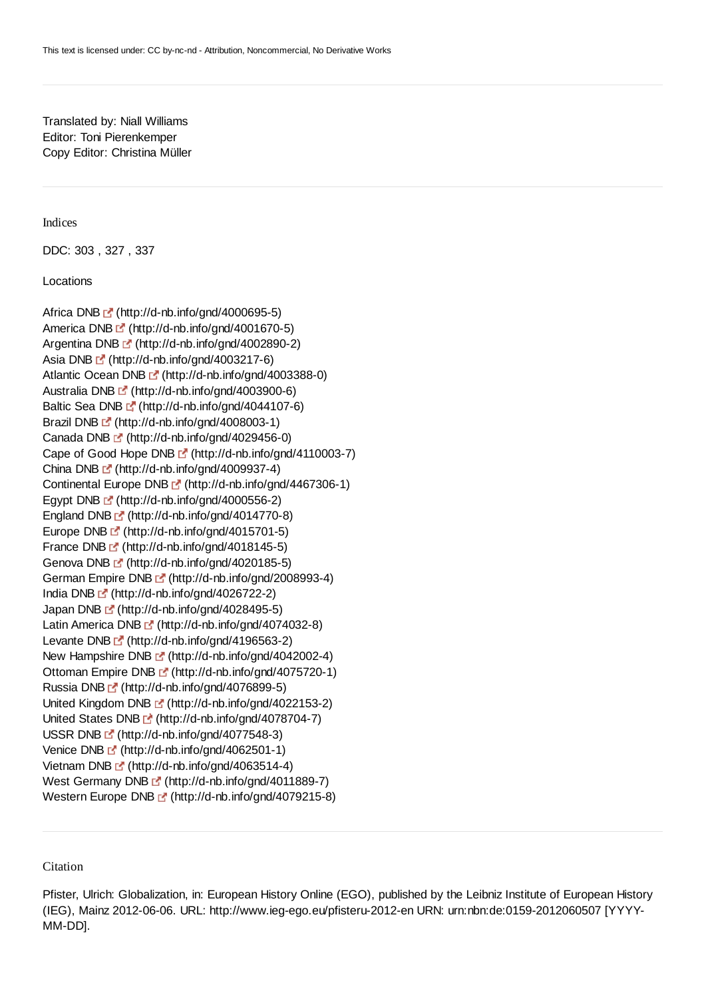# Translated by: Niall Williams Editor: Toni Pierenkemper Copy Editor: Christina Müller

Indices

DDC: 303 , 327 , 337

Locations

Africa DNB  $C'$  (http://d-nb.info/gnd/4000695-5) America DNB  $\mathbb{F}$  (http://d-nb.info/gnd/4001670-5) Argentina DNB <sup>(\*</sup> (http://d-nb.info/gnd/4002890-2) Asia DNB  $\mathbb{F}^{\bullet}$  (http://d-nb.info/gnd/4003217-6) Atlantic Ocean DNB [f] (http://d-nb.info/gnd/4003388-0) Australia DNB [fttp://d-nb.info/gnd/4003900-6) Baltic Sea DNB  $\mathbb{F}$  (http://d-nb.info/gnd/4044107-6) Brazil DNB [fttp://d-nb.info/gnd/4008003-1) Canada DNB [ (http://d-nb.info/gnd/4029456-0) Cape of Good Hope DNB [fttp://d-nb.info/gnd/4110003-7) China DNB  $\mathbb{E}^n$  (http://d-nb.info/gnd/4009937-4) Continental Europe DNB (http://d-nb.info/gnd/4467306-1) Egypt DNB  $C'$  (http://d-nb.info/gnd/4000556-2) England DNB [station] (http://d-nb.info/gnd/4014770-8) Europe DNB L<sup>o</sup> (http://d-nb.info/gnd/4015701-5) France DNB E' (http://d-nb.info/gnd/4018145-5) Genova DNB (http://d-nb.info/gnd/4020185-5) German Empire DNB <sup>[5]</sup> (http://d-nb.info/gnd/2008993-4) India DNB (http://d-nb.info/gnd/4026722-2) Japan DNB [2] (http://d-nb.info/gnd/4028495-5) Latin America DNB [st] (http://d-nb.info/gnd/4074032-8) Levante DNB F (http://d-nb.info/gnd/4196563-2) New Hampshire DNB [5] (http://d-nb.info/gnd/4042002-4) Ottoman Empire DNB <sup>[5]</sup> (http://d-nb.info/gnd/4075720-1) Russia DNB <sup>(\*</sup> (http://d-nb.info/gnd/4076899-5) United Kingdom DNB <sup>r</sup> (http://d-nb.info/gnd/4022153-2) United States DNB  $C^{\prime}$  (http://d-nb.info/gnd/4078704-7) USSR DNB L<sup>a</sup> (http://d-nb.info/gnd/4077548-3) Venice DNB  $C'$  (http://d-nb.info/gnd/4062501-1) Vietnam DNB [ (http://d-nb.info/gnd/4063514-4) West Germany DNB <sup>(\*</sup> (http://d-nb.info/gnd/4011889-7) Western Europe DNB [" (http://d-nb.info/gnd/4079215-8)

**Citation** 

Pfister, Ulrich: Globalization, in: European History Online (EGO), published by the Leibniz Institute of European History (IEG), Mainz 2012-06-06. URL: http://www.ieg-ego.eu/pfisteru-2012-en URN: urn:nbn:de:0159-2012060507 [YYYY-MM-DD].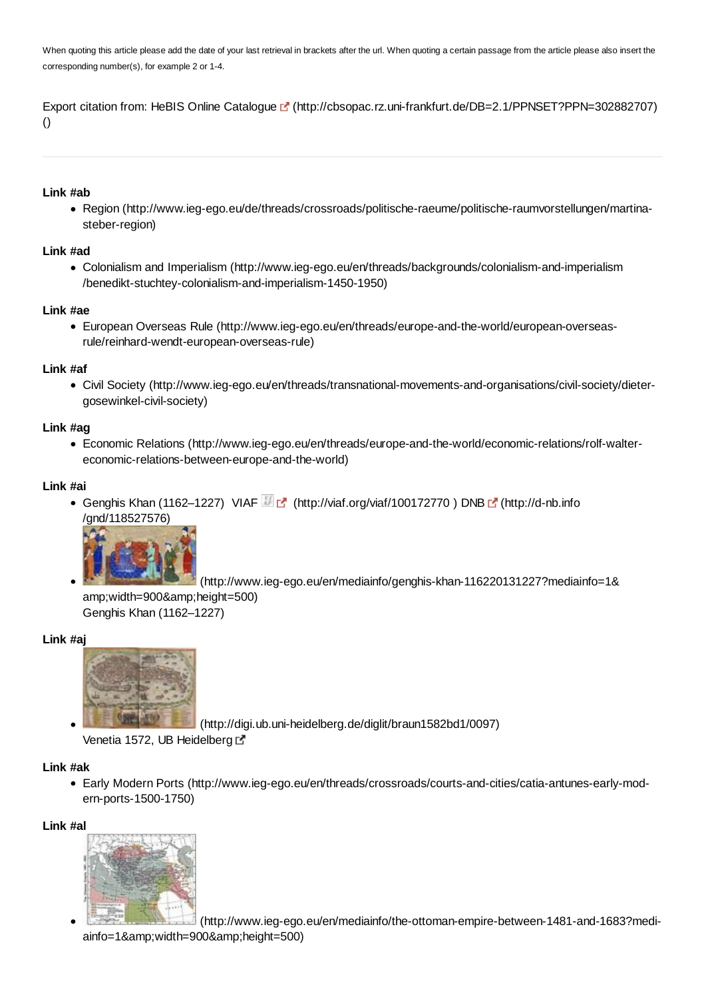When quoting this article please add the date of your last retrieval in brackets after the url. When quoting a certain passage from the article please also insert the corresponding number(s), for example 2 or 1-4.

Export citation from: HeBIS Online Catalogue [sttp://cbsopac.rz.uni-frankfurt.de/DB=2.1/PPNSET?PPN=302882707) ()

#### **Link #ab**

Region (http://www.ieg-ego.eu/de/threads/crossroads/politische-raeume/politische-raumvorstellungen/martinasteber-region)

#### **Link #ad**

Colonialism and Imperialism (http://www.ieg-ego.eu/en/threads/backgrounds/colonialism-and-imperialism /benedikt-stuchtey-colonialism-and-imperialism-1450-1950)

## **Link #ae**

European Overseas Rule (http://www.ieg-ego.eu/en/threads/europe-and-the-world/european-overseasrule/reinhard-wendt-european-overseas-rule)

#### **Link #af**

Civil Society (http://www.ieg-ego.eu/en/threads/transnational-movements-and-organisations/civil-society/dietergosewinkel-civil-society)

## **Link #ag**

Economic Relations (http://www.ieg-ego.eu/en/threads/europe-and-the-world/economic-relations/rolf-waltereconomic-relations-between-europe-and-the-world)

#### **Link #ai**

Genghis Khan (1162–1227) VIAF (http://viaf.org/viaf/100172770) DNB  $\mathbb{F}$  (http://d-nb.info /gnd/118527576)



 (http://www.ieg-ego.eu/en/mediainfo/genghis-khan-116220131227?mediainfo=1& amp;width=900&height=500) Genghis Khan (1162–1227)

## **Link #aj**



(http://digi.ub.uni-heidelberg.de/diglit/braun1582bd1/0097)

Venetia 1572, UB Heidelberg E

## **Link #ak**

Early Modern Ports (http://www.ieg-ego.eu/en/threads/crossroads/courts-and-cities/catia-antunes-early-modern-ports-1500-1750)

#### **Link #al**



 (http://www.ieg-ego.eu/en/mediainfo/the-ottoman-empire-between-1481-and-1683?mediainfo=1&width=900&height=500)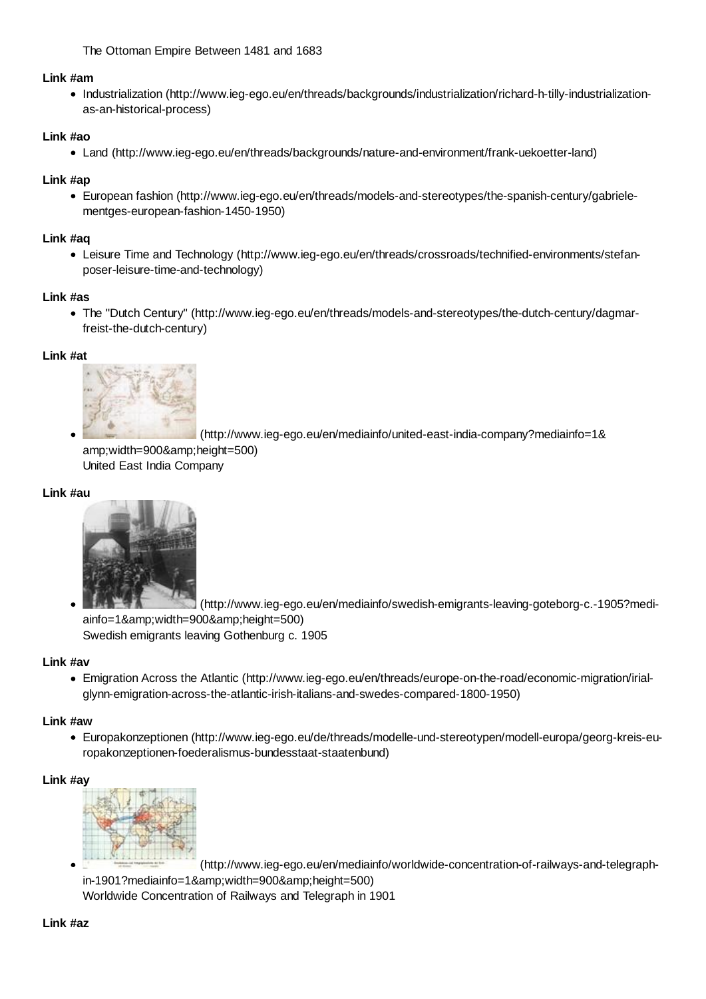The Ottoman Empire Between 1481 and 1683

## **Link #am**

Industrialization (http://www.ieg-ego.eu/en/threads/backgrounds/industrialization/richard-h-tilly-industrializationas-an-historical-process)

# **Link #ao**

Land (http://www.ieg-ego.eu/en/threads/backgrounds/nature-and-environment/frank-uekoetter-land)

# **Link #ap**

European fashion (http://www.ieg-ego.eu/en/threads/models-and-stereotypes/the-spanish-century/gabrielementges-european-fashion-1450-1950)

# **Link #aq**

Leisure Time and Technology (http://www.ieg-ego.eu/en/threads/crossroads/technified-environments/stefanposer-leisure-time-and-technology)

# **Link #as**

The "Dutch Century" (http://www.ieg-ego.eu/en/threads/models-and-stereotypes/the-dutch-century/dagmarfreist-the-dutch-century)

# **Link #at**



 (http://www.ieg-ego.eu/en/mediainfo/united-east-india-company?mediainfo=1& amp;width=900&height=500) United East India Company

# **Link #au**



 (http://www.ieg-ego.eu/en/mediainfo/swedish-emigrants-leaving-goteborg-c.-1905?mediainfo=1&amp:width=900&amp:height=500) Swedish emigrants leaving Gothenburg c. 1905

# **Link #av**

Emigration Across the Atlantic (http://www.ieg-ego.eu/en/threads/europe-on-the-road/economic-migration/irialglynn-emigration-across-the-atlantic-irish-italians-and-swedes-compared-1800-1950)

# **Link #aw**

Europakonzeptionen (http://www.ieg-ego.eu/de/threads/modelle-und-stereotypen/modell-europa/georg-kreis-europakonzeptionen-foederalismus-bundesstaat-staatenbund)

# **Link #ay**



 (http://www.ieg-ego.eu/en/mediainfo/worldwide-concentration-of-railways-and-telegraphin-1901?mediainfo=1&width=900&height=500) Worldwide Concentration of Railways and Telegraph in 1901